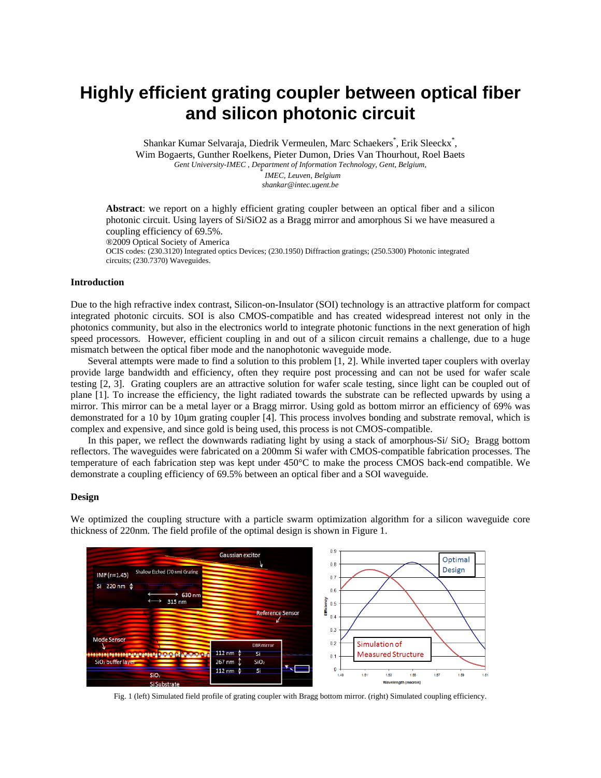# **Highly efficient grating coupler between optical fiber and silicon photonic circuit**

Shankar Kumar Selvaraja, Diedrik Vermeulen, Marc Schaekers<sup>\*</sup>, Erik Sleeckx<sup>\*</sup>, Wim Bogaerts, Gunther Roelkens, Pieter Dumon, Dries Van Thourhout, Roel Baets *Gent University-IMEC , Department of Information Technology, Gent, Belgium,* \* *IMEC, Leuven, Belgium* 

*shankar@intec.ugent.be* 

**Abstract**: we report on a highly efficient grating coupler between an optical fiber and a silicon photonic circuit. Using layers of Si/SiO2 as a Bragg mirror and amorphous Si we have measured a coupling efficiency of 69.5%. ®2009 Optical Society of America

OCIS codes: (230.3120) Integrated optics Devices; (230.1950) Diffraction gratings; (250.5300) Photonic integrated circuits; (230.7370) Waveguides.

## **Introduction**

Due to the high refractive index contrast, Silicon-on-Insulator (SOI) technology is an attractive platform for compact integrated photonic circuits. SOI is also CMOS-compatible and has created widespread interest not only in the photonics community, but also in the electronics world to integrate photonic functions in the next generation of high speed processors. However, efficient coupling in and out of a silicon circuit remains a challenge, due to a huge mismatch between the optical fiber mode and the nanophotonic waveguide mode.

Several attempts were made to find a solution to this problem [1, 2]. While inverted taper couplers with overlay provide large bandwidth and efficiency, often they require post processing and can not be used for wafer scale testing [2, 3]. Grating couplers are an attractive solution for wafer scale testing, since light can be coupled out of plane [1]. To increase the efficiency, the light radiated towards the substrate can be reflected upwards by using a mirror. This mirror can be a metal layer or a Bragg mirror. Using gold as bottom mirror an efficiency of 69% was demonstrated for a 10 by 10µm grating coupler [4]. This process involves bonding and substrate removal, which is complex and expensive, and since gold is being used, this process is not CMOS-compatible.

In this paper, we reflect the downwards radiating light by using a stack of amorphous- $Si/SiO<sub>2</sub>$  Bragg bottom reflectors. The waveguides were fabricated on a 200mm Si wafer with CMOS-compatible fabrication processes. The temperature of each fabrication step was kept under 450°C to make the process CMOS back-end compatible. We demonstrate a coupling efficiency of 69.5% between an optical fiber and a SOI waveguide.

### **Design**

We optimized the coupling structure with a particle swarm optimization algorithm for a silicon waveguide core thickness of 220nm. The field profile of the optimal design is shown in Figure 1.



Fig. 1 (left) Simulated field profile of grating coupler with Bragg bottom mirror. (right) Simulated coupling efficiency.